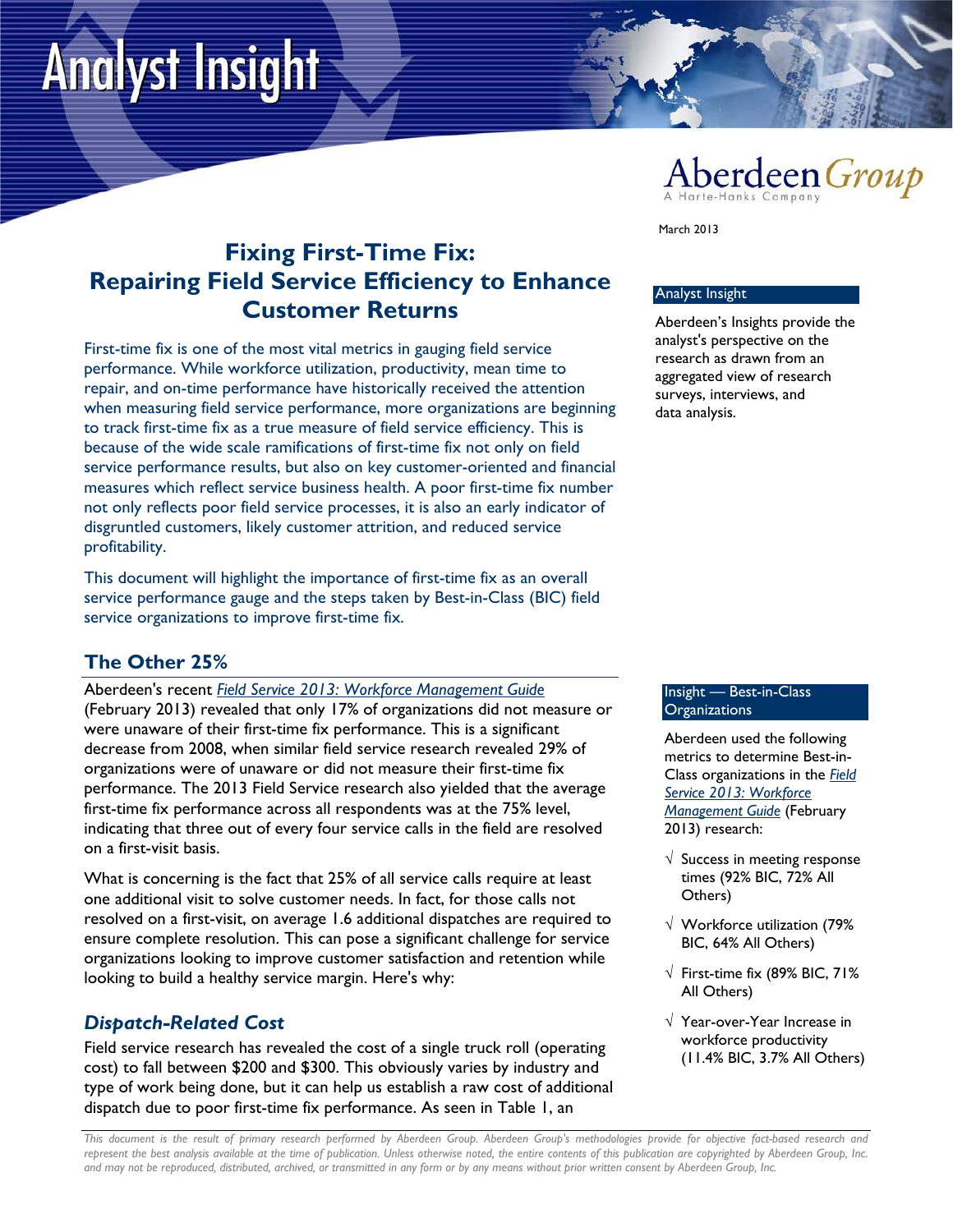# **Analyst Insight**



March 2013

# **Fixing First-Time Fix: Repairing Field Service Efficiency to Enhance Customer Returns**

First-time fix is one of the most vital metrics in gauging field service performance. While workforce utilization, productivity, mean time to repair, and on-time performance have historically received the attention when measuring field service performance, more organizations are beginning to track first-time fix as a true measure of field service efficiency. This is because of the wide scale ramifications of first-time fix not only on field service performance results, but also on key customer-oriented and financial measures which reflect service business health. A poor first-time fix number not only reflects poor field service processes, it is also an early indicator of disgruntled customers, likely customer attrition, and reduced service profitability.

This document will highlight the importance of first-time fix as an overall service performance gauge and the steps taken by Best-in-Class (BIC) field service organizations to improve first-time fix.

## **The Other 25%**

Aberdeen's recent *[Field Service 2013: Workforce Management Guide](http://www.aberdeen.com/Aberdeen-Library/8325/RA-field-service-workforce.aspx)* (February 2013) revealed that only 17% of organizations did not measure or were unaware of their first-time fix performance. This is a significant decrease from 2008, when similar field service research revealed 29% of organizations were of unaware or did not measure their first-time fix performance. The 2013 Field Service research also yielded that the average first-time fix performance across all respondents was at the 75% level, indicating that three out of every four service calls in the field are resolved on a first-visit basis.

What is concerning is the fact that 25% of all service calls require at least one additional visit to solve customer needs. In fact, for those calls not resolved on a first-visit, on average 1.6 additional dispatches are required to ensure complete resolution. This can pose a significant challenge for service organizations looking to improve customer satisfaction and retention while looking to build a healthy service margin. Here's why:

## *Dispatch-Related Cost*

Field service research has revealed the cost of a single truck roll (operating cost) to fall between \$200 and \$300. This obviously varies by industry and type of work being done, but it can help us establish a raw cost of additional dispatch due to poor first-time fix performance. As seen in Table 1, an

#### Analyst Insight

Aberdeen's Insights provide the analyst's perspective on the research as drawn from an aggregated view of research surveys, interviews, and data analysis.

#### Insight — Best-in-Class **Organizations**

Aberdeen used the following metrics to determine Best-in-Class organizations in the *[Field](http://www.aberdeen.com/Aberdeen-Library/8325/RA-field-service-workforce.aspx)  [Service 2013: Workforce](http://www.aberdeen.com/Aberdeen-Library/8325/RA-field-service-workforce.aspx)  [Management Guide](http://www.aberdeen.com/Aberdeen-Library/8325/RA-field-service-workforce.aspx)* (February 2013) research:

- $\sqrt{ }$  Success in meeting response times (92% BIC, 72% All Others)
- √ Workforce utilization (79% BIC, 64% All Others)
- $\sqrt{\phantom{a}}$  First-time fix (89% BIC, 71% All Others)
- √ Year-over-Year Increase in workforce productivity (11.4% BIC, 3.7% All Others)

*This document is the result of primary research performed by Aberdeen Group. Aberdeen Group's methodologies provide for objective fact-based research and represent the best analysis available at the time of publication. Unless otherwise noted, the entire contents of this publication are copyrighted by Aberdeen Group, Inc. and may not be reproduced, distributed, archived, or transmitted in any form or by any means without prior written consent by Aberdeen Group, Inc.*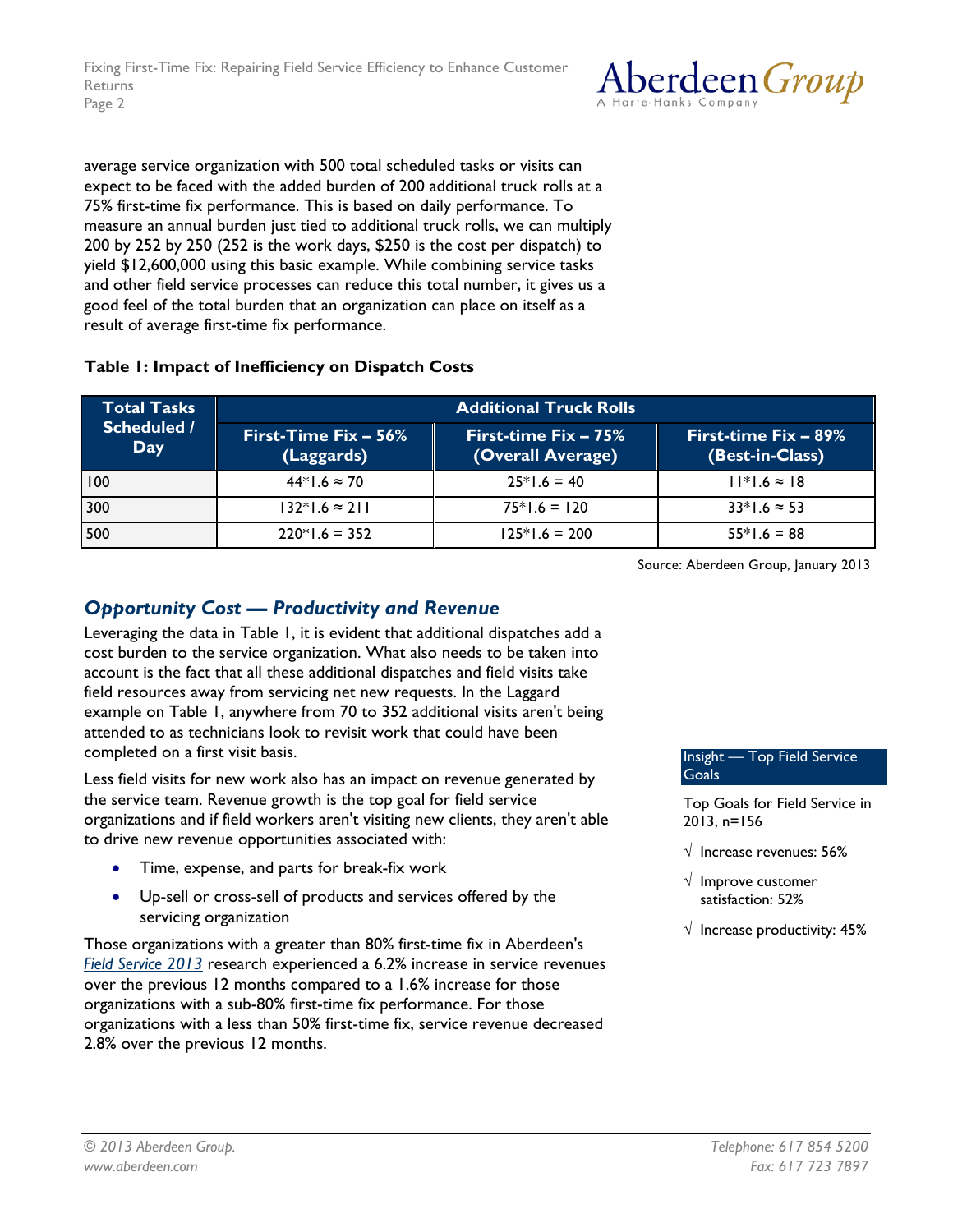

average service organization with 500 total scheduled tasks or visits can expect to be faced with the added burden of 200 additional truck rolls at a 75% first-time fix performance. This is based on daily performance. To measure an annual burden just tied to additional truck rolls, we can multiply 200 by 252 by 250 (252 is the work days, \$250 is the cost per dispatch) to yield \$12,600,000 using this basic example. While combining service tasks and other field service processes can reduce this total number, it gives us a good feel of the total burden that an organization can place on itself as a result of average first-time fix performance.

#### **Table 1: Impact of Inefficiency on Dispatch Costs**

| <b>Total Tasks</b><br><b>Scheduled /</b><br>Day | <b>Additional Truck Rolls</b>        |                                              |                                            |
|-------------------------------------------------|--------------------------------------|----------------------------------------------|--------------------------------------------|
|                                                 | First-Time Fix $-56\%$<br>(Laggards) | First-time $Fix - 75\%$<br>(Overall Average) | First-time $Fix - 89\%$<br>(Best-in-Class) |
| 100                                             | $44*1.6 \approx 70$                  | $25*1.6 = 40$                                | $11*1.6 \approx 18$                        |
| 300                                             | $132*1.6 \approx 211$                | $75*1.6 = 120$                               | $33*1.6 \approx 53$                        |
| 500                                             | $220*1.6 = 352$                      | $125*1.6 = 200$                              | $55*1.6 = 88$                              |

Source: Aberdeen Group, January 2013

## *Opportunity Cost — Productivity and Revenue*

Leveraging the data in Table 1, it is evident that additional dispatches add a cost burden to the service organization. What also needs to be taken into account is the fact that all these additional dispatches and field visits take field resources away from servicing net new requests. In the Laggard example on Table 1, anywhere from 70 to 352 additional visits aren't being attended to as technicians look to revisit work that could have been completed on a first visit basis.

Less field visits for new work also has an impact on revenue generated by the service team. Revenue growth is the top goal for field service organizations and if field workers aren't visiting new clients, they aren't able to drive new revenue opportunities associated with:

- Time, expense, and parts for break-fix work
- Up-sell or cross-sell of products and services offered by the servicing organization

Those organizations with a greater than 80% first-time fix in Aberdeen's *[Field Service 2013](http://www.aberdeen.com/Aberdeen-Library/8325/RA-field-service-workforce.aspx)* research experienced a 6.2% increase in service revenues over the previous 12 months compared to a 1.6% increase for those organizations with a sub-80% first-time fix performance. For those organizations with a less than 50% first-time fix, service revenue decreased 2.8% over the previous 12 months.

Insight — Top Field Service **Goals** 

Top Goals for Field Service in 2013, n=156

- √ Increase revenues: 56%
- √ Improve customer satisfaction: 52%
- $\sqrt{ }$  Increase productivity: 45%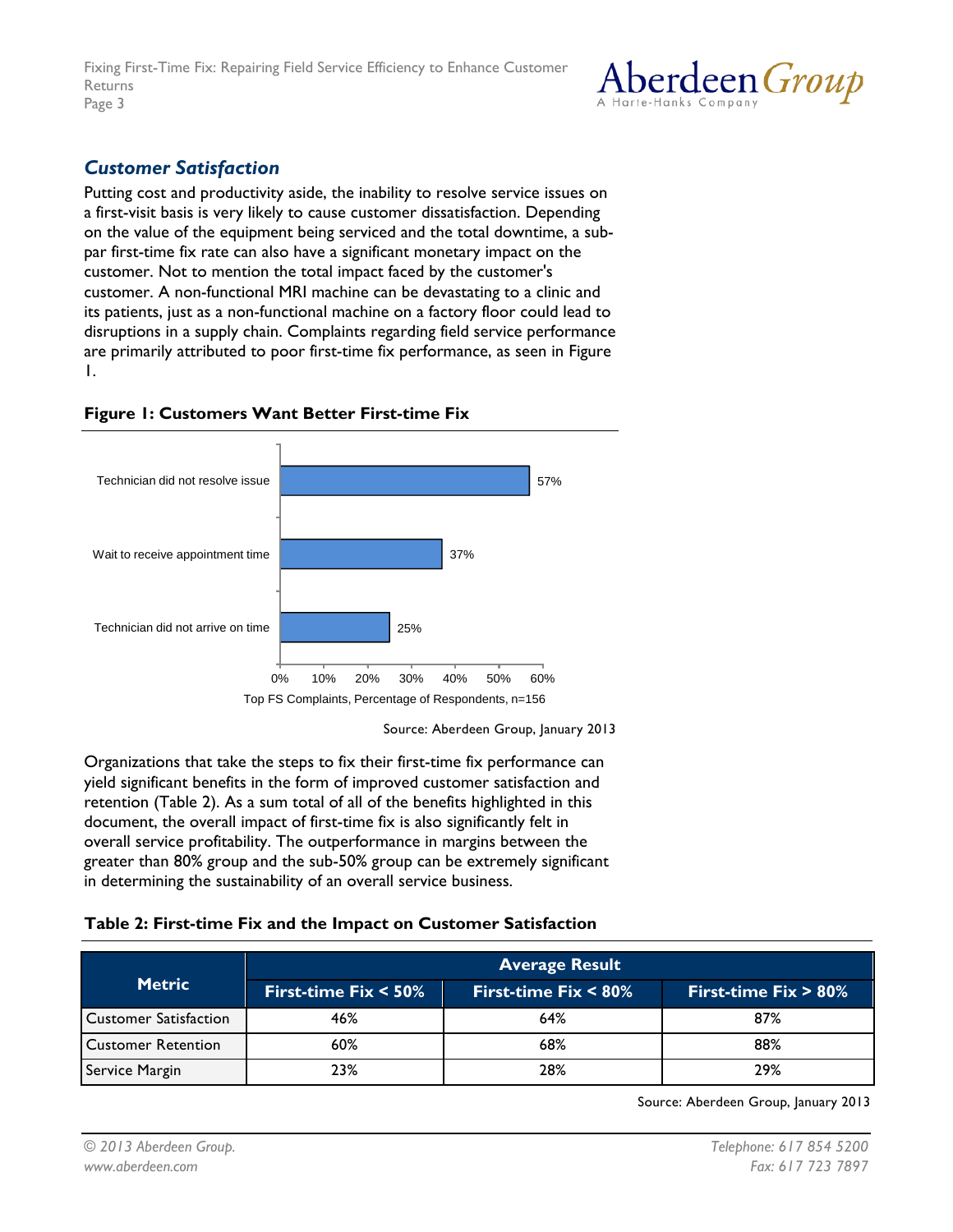

## *Customer Satisfaction*

Putting cost and productivity aside, the inability to resolve service issues on a first-visit basis is very likely to cause customer dissatisfaction. Depending on the value of the equipment being serviced and the total downtime, a subpar first-time fix rate can also have a significant monetary impact on the customer. Not to mention the total impact faced by the customer's customer. A non-functional MRI machine can be devastating to a clinic and its patients, just as a non-functional machine on a factory floor could lead to disruptions in a supply chain. Complaints regarding field service performance are primarily attributed to poor first-time fix performance, as seen in Figure 1.



#### **Figure 1: Customers Want Better First-time Fix**

Source: Aberdeen Group, January 2013

Organizations that take the steps to fix their first-time fix performance can yield significant benefits in the form of improved customer satisfaction and retention (Table 2). As a sum total of all of the benefits highlighted in this document, the overall impact of first-time fix is also significantly felt in overall service profitability. The outperformance in margins between the greater than 80% group and the sub-50% group can be extremely significant in determining the sustainability of an overall service business.

#### **Table 2: First-time Fix and the Impact on Customer Satisfaction**

| <b>Metric</b>             | <b>Average Result</b>   |                         |                         |
|---------------------------|-------------------------|-------------------------|-------------------------|
|                           | First-time $Fix < 50\%$ | First-time Fix $< 80\%$ | First-time $Fix > 80\%$ |
| Customer Satisfaction     | 46%                     | 64%                     | 87%                     |
| <b>Customer Retention</b> | 60%                     | 68%                     | 88%                     |
| Service Margin            | 23%                     | 28%                     | 29%                     |

Source: Aberdeen Group, January 2013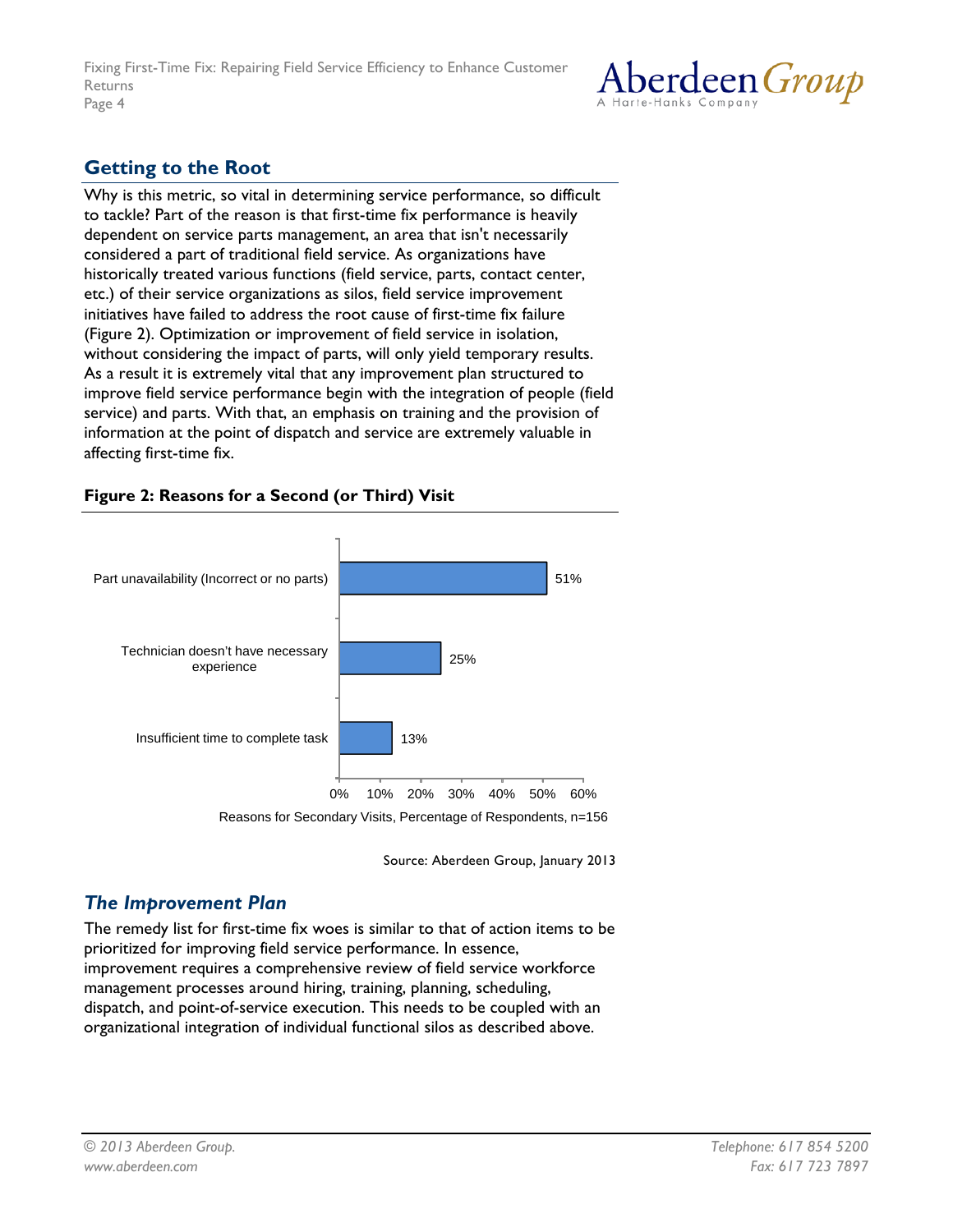

## **Getting to the Root**

Why is this metric, so vital in determining service performance, so difficult to tackle? Part of the reason is that first-time fix performance is heavily dependent on service parts management, an area that isn't necessarily considered a part of traditional field service. As organizations have historically treated various functions (field service, parts, contact center, etc.) of their service organizations as silos, field service improvement initiatives have failed to address the root cause of first-time fix failure (Figure 2). Optimization or improvement of field service in isolation, without considering the impact of parts, will only yield temporary results. As a result it is extremely vital that any improvement plan structured to improve field service performance begin with the integration of people (field service) and parts. With that, an emphasis on training and the provision of information at the point of dispatch and service are extremely valuable in affecting first-time fix.

#### **Figure 2: Reasons for a Second (or Third) Visit**



Source: Aberdeen Group, January 2013

## *The Improvement Plan*

The remedy list for first-time fix woes is similar to that of action items to be prioritized for improving field service performance. In essence, improvement requires a comprehensive review of field service workforce management processes around hiring, training, planning, scheduling, dispatch, and point-of-service execution. This needs to be coupled with an organizational integration of individual functional silos as described above.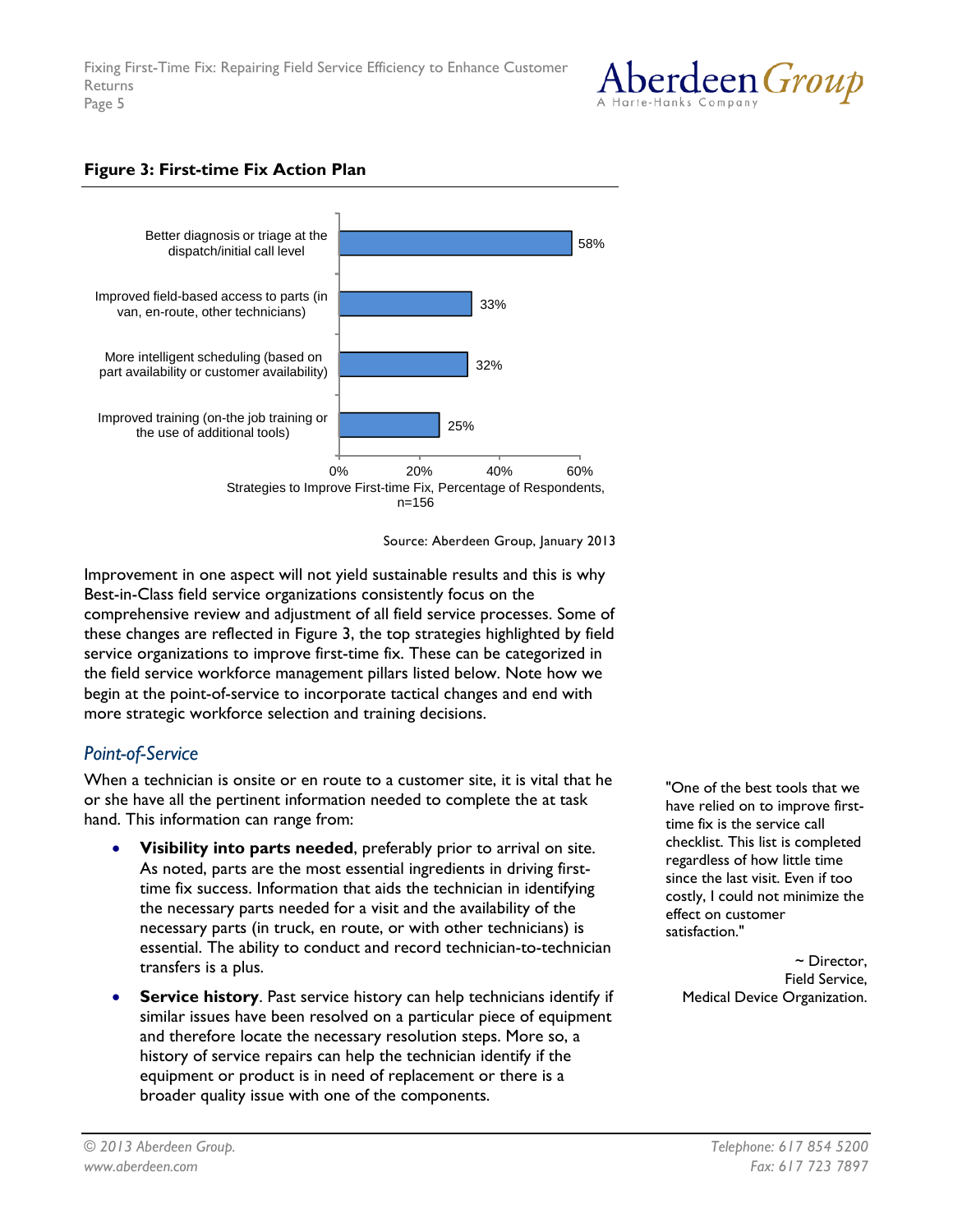

#### **Figure 3: First-time Fix Action Plan**



Source: Aberdeen Group, January 2013

Improvement in one aspect will not yield sustainable results and this is why Best-in-Class field service organizations consistently focus on the comprehensive review and adjustment of all field service processes. Some of these changes are reflected in Figure 3, the top strategies highlighted by field service organizations to improve first-time fix. These can be categorized in the field service workforce management pillars listed below. Note how we begin at the point-of-service to incorporate tactical changes and end with more strategic workforce selection and training decisions.

## *Point-of-Service*

When a technician is onsite or en route to a customer site, it is vital that he or she have all the pertinent information needed to complete the at task hand. This information can range from:

- **Visibility into parts needed**, preferably prior to arrival on site. As noted, parts are the most essential ingredients in driving firsttime fix success. Information that aids the technician in identifying the necessary parts needed for a visit and the availability of the necessary parts (in truck, en route, or with other technicians) is essential. The ability to conduct and record technician-to-technician transfers is a plus.
- **Service history.** Past service history can help technicians identify if similar issues have been resolved on a particular piece of equipment and therefore locate the necessary resolution steps. More so, a history of service repairs can help the technician identify if the equipment or product is in need of replacement or there is a broader quality issue with one of the components.

"One of the best tools that we have relied on to improve firsttime fix is the service call checklist. This list is completed regardless of how little time since the last visit. Even if too costly, I could not minimize the effect on customer satisfaction."

~ Director, Field Service, Medical Device Organization.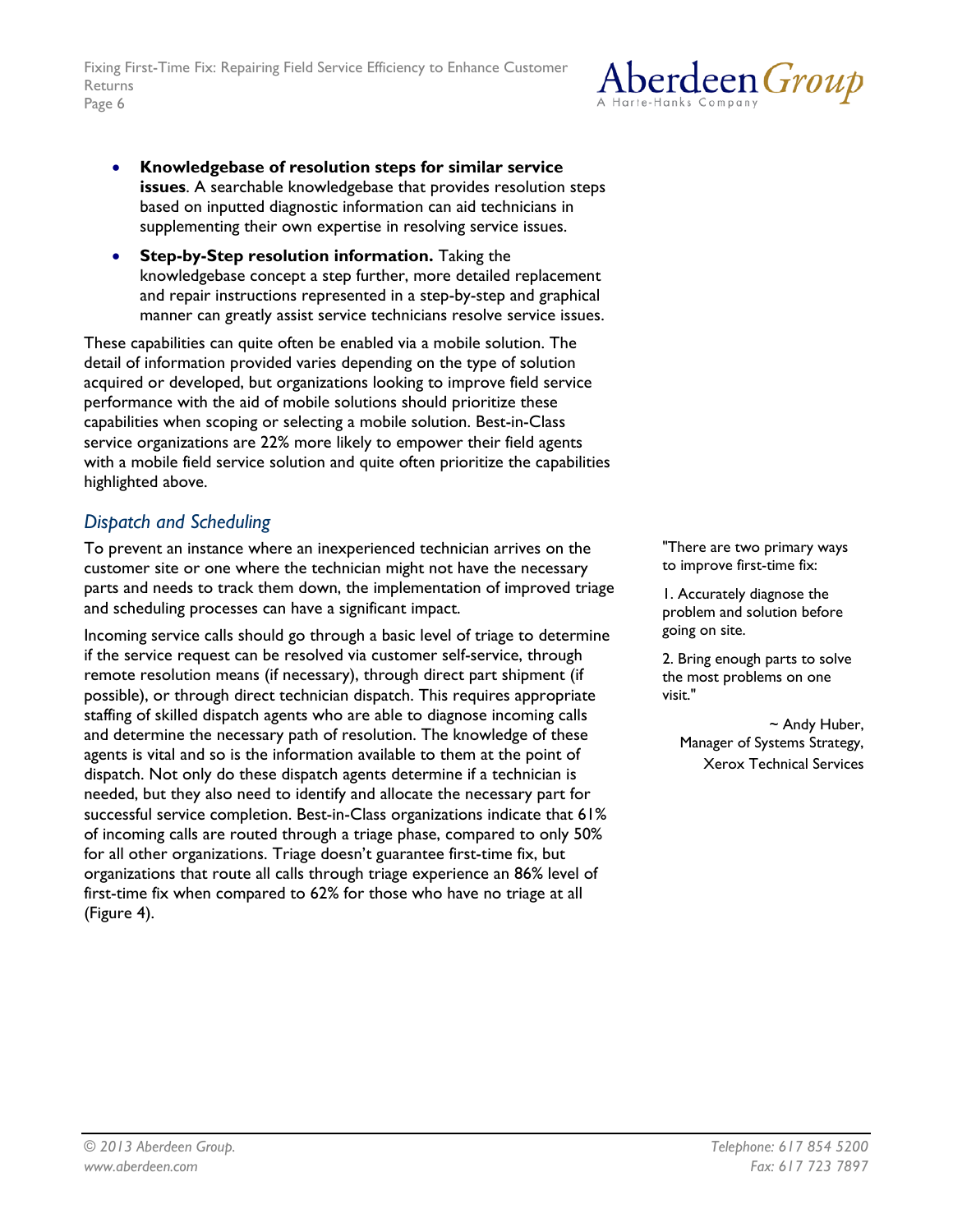

- **Knowledgebase of resolution steps for similar service issues**. A searchable knowledgebase that provides resolution steps based on inputted diagnostic information can aid technicians in supplementing their own expertise in resolving service issues.
- **Step-by-Step resolution information.** Taking the knowledgebase concept a step further, more detailed replacement and repair instructions represented in a step-by-step and graphical manner can greatly assist service technicians resolve service issues.

These capabilities can quite often be enabled via a mobile solution. The detail of information provided varies depending on the type of solution acquired or developed, but organizations looking to improve field service performance with the aid of mobile solutions should prioritize these capabilities when scoping or selecting a mobile solution. Best-in-Class service organizations are 22% more likely to empower their field agents with a mobile field service solution and quite often prioritize the capabilities highlighted above.

## *Dispatch and Scheduling*

To prevent an instance where an inexperienced technician arrives on the customer site or one where the technician might not have the necessary parts and needs to track them down, the implementation of improved triage and scheduling processes can have a significant impact.

Incoming service calls should go through a basic level of triage to determine if the service request can be resolved via customer self-service, through remote resolution means (if necessary), through direct part shipment (if possible), or through direct technician dispatch. This requires appropriate staffing of skilled dispatch agents who are able to diagnose incoming calls and determine the necessary path of resolution. The knowledge of these agents is vital and so is the information available to them at the point of dispatch. Not only do these dispatch agents determine if a technician is needed, but they also need to identify and allocate the necessary part for successful service completion. Best-in-Class organizations indicate that 61% of incoming calls are routed through a triage phase, compared to only 50% for all other organizations. Triage doesn't guarantee first-time fix, but organizations that route all calls through triage experience an 86% level of first-time fix when compared to 62% for those who have no triage at all (Figure 4).

"There are two primary ways to improve first-time fix:

1. Accurately diagnose the problem and solution before going on site.

2. Bring enough parts to solve the most problems on one visit."

~ Andy Huber, Manager of Systems Strategy, Xerox Technical Services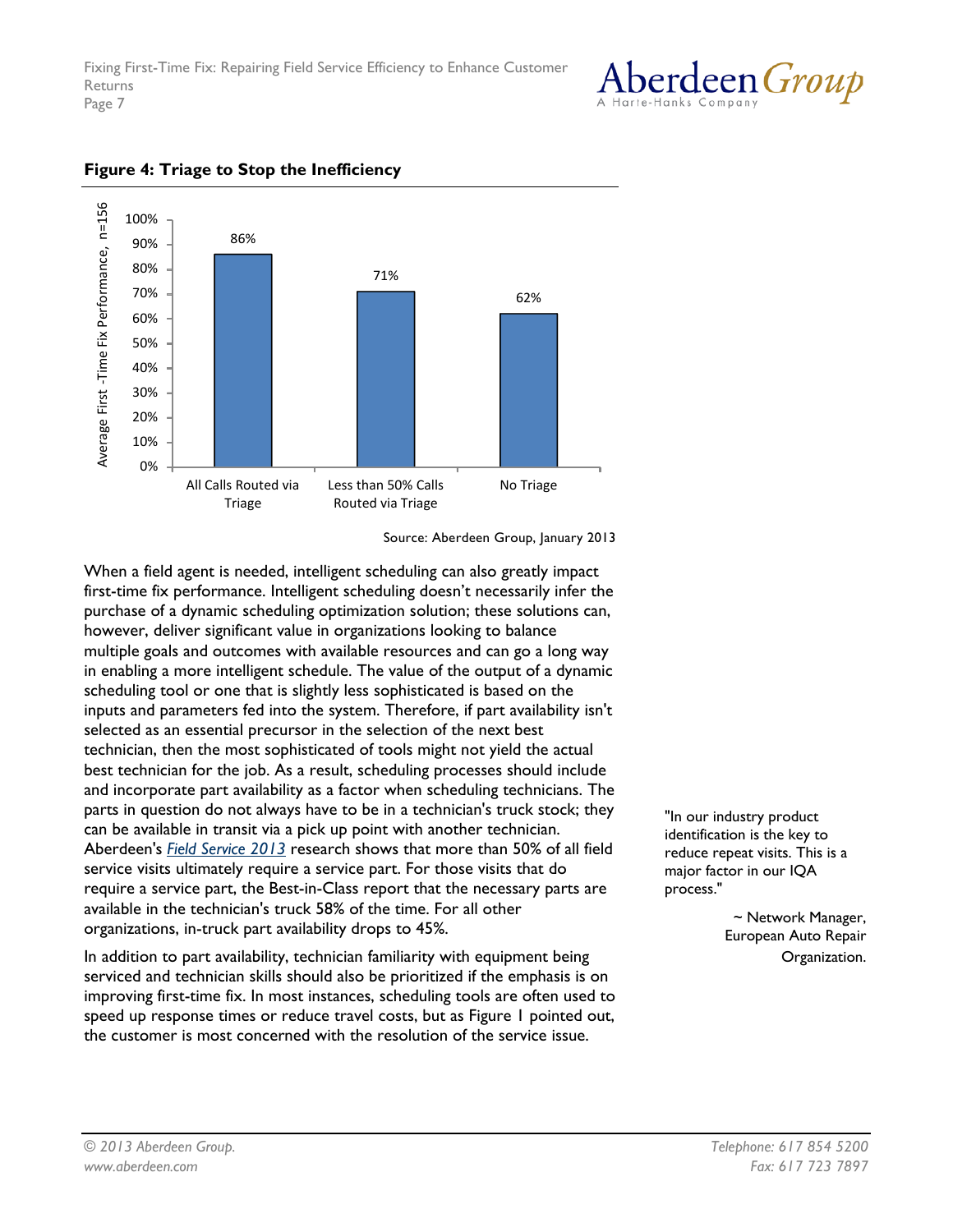



#### **Figure 4: Triage to Stop the Inefficiency**

Source: Aberdeen Group, January 2013

When a field agent is needed, intelligent scheduling can also greatly impact first-time fix performance. Intelligent scheduling doesn't necessarily infer the purchase of a dynamic scheduling optimization solution; these solutions can, however, deliver significant value in organizations looking to balance multiple goals and outcomes with available resources and can go a long way in enabling a more intelligent schedule. The value of the output of a dynamic scheduling tool or one that is slightly less sophisticated is based on the inputs and parameters fed into the system. Therefore, if part availability isn't selected as an essential precursor in the selection of the next best technician, then the most sophisticated of tools might not yield the actual best technician for the job. As a result, scheduling processes should include and incorporate part availability as a factor when scheduling technicians. The parts in question do not always have to be in a technician's truck stock; they can be available in transit via a pick up point with another technician. Aberdeen's *[Field Service 2013](http://www.aberdeen.com/Aberdeen-Library/8325/RA-field-service-workforce.aspx)* research shows that more than 50% of all field service visits ultimately require a service part. For those visits that do require a service part, the Best-in-Class report that the necessary parts are available in the technician's truck 58% of the time. For all other organizations, in-truck part availability drops to 45%.

In addition to part availability, technician familiarity with equipment being serviced and technician skills should also be prioritized if the emphasis is on improving first-time fix. In most instances, scheduling tools are often used to speed up response times or reduce travel costs, but as Figure 1 pointed out, the customer is most concerned with the resolution of the service issue.

"In our industry product identification is the key to reduce repeat visits. This is a major factor in our IQA process."

> ~ Network Manager, European Auto Repair Organization.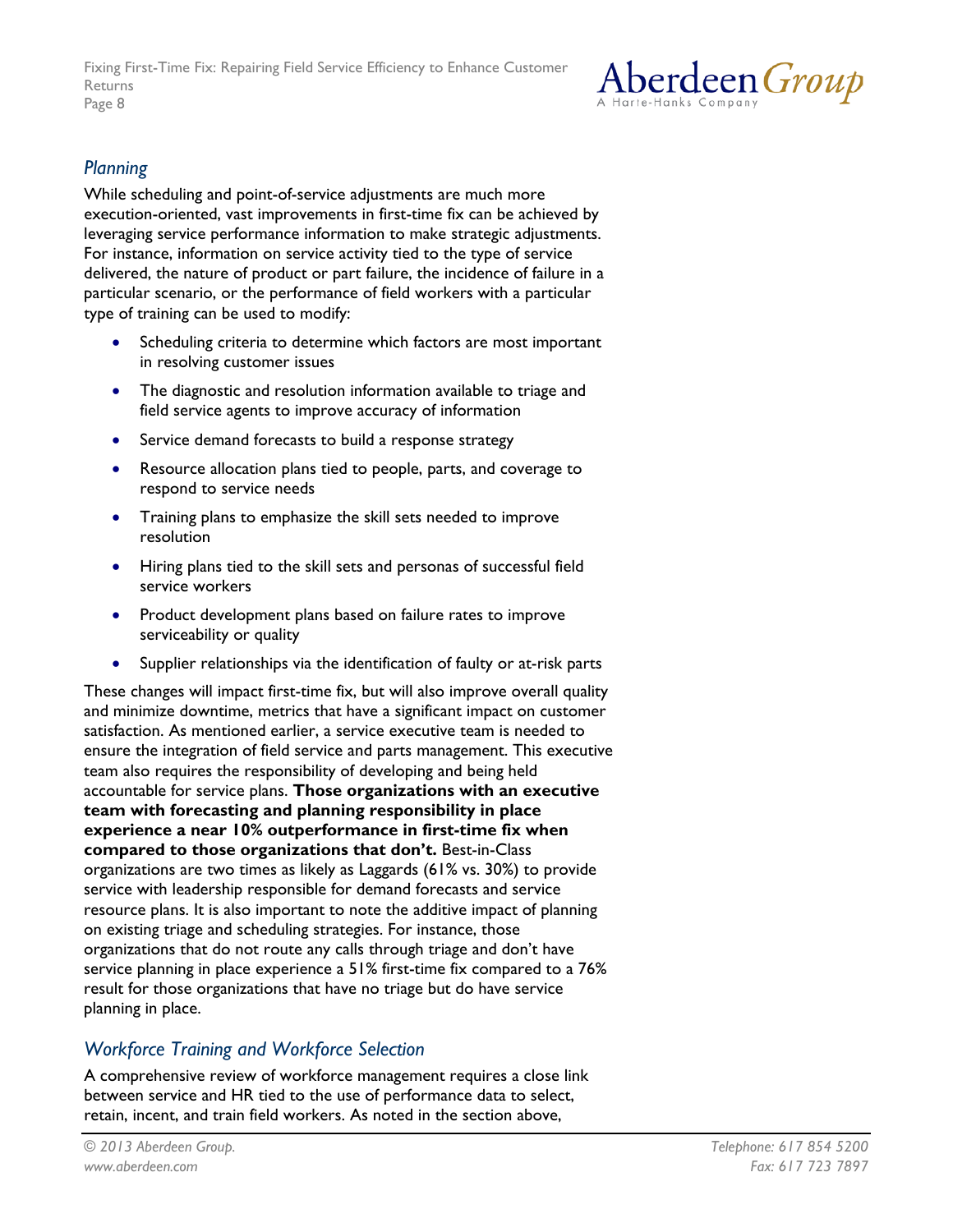

## *Planning*

While scheduling and point-of-service adjustments are much more execution-oriented, vast improvements in first-time fix can be achieved by leveraging service performance information to make strategic adjustments. For instance, information on service activity tied to the type of service delivered, the nature of product or part failure, the incidence of failure in a particular scenario, or the performance of field workers with a particular type of training can be used to modify:

- Scheduling criteria to determine which factors are most important in resolving customer issues
- The diagnostic and resolution information available to triage and field service agents to improve accuracy of information
- Service demand forecasts to build a response strategy
- Resource allocation plans tied to people, parts, and coverage to respond to service needs
- Training plans to emphasize the skill sets needed to improve resolution
- Hiring plans tied to the skill sets and personas of successful field service workers
- Product development plans based on failure rates to improve serviceability or quality
- Supplier relationships via the identification of faulty or at-risk parts

These changes will impact first-time fix, but will also improve overall quality and minimize downtime, metrics that have a significant impact on customer satisfaction. As mentioned earlier, a service executive team is needed to ensure the integration of field service and parts management. This executive team also requires the responsibility of developing and being held accountable for service plans. **Those organizations with an executive team with forecasting and planning responsibility in place experience a near 10% outperformance in first-time fix when compared to those organizations that don't.** Best-in-Class organizations are two times as likely as Laggards (61% vs. 30%) to provide service with leadership responsible for demand forecasts and service resource plans. It is also important to note the additive impact of planning on existing triage and scheduling strategies. For instance, those organizations that do not route any calls through triage and don't have service planning in place experience a 51% first-time fix compared to a 76% result for those organizations that have no triage but do have service planning in place.

## *Workforce Training and Workforce Selection*

A comprehensive review of workforce management requires a close link between service and HR tied to the use of performance data to select, retain, incent, and train field workers. As noted in the section above,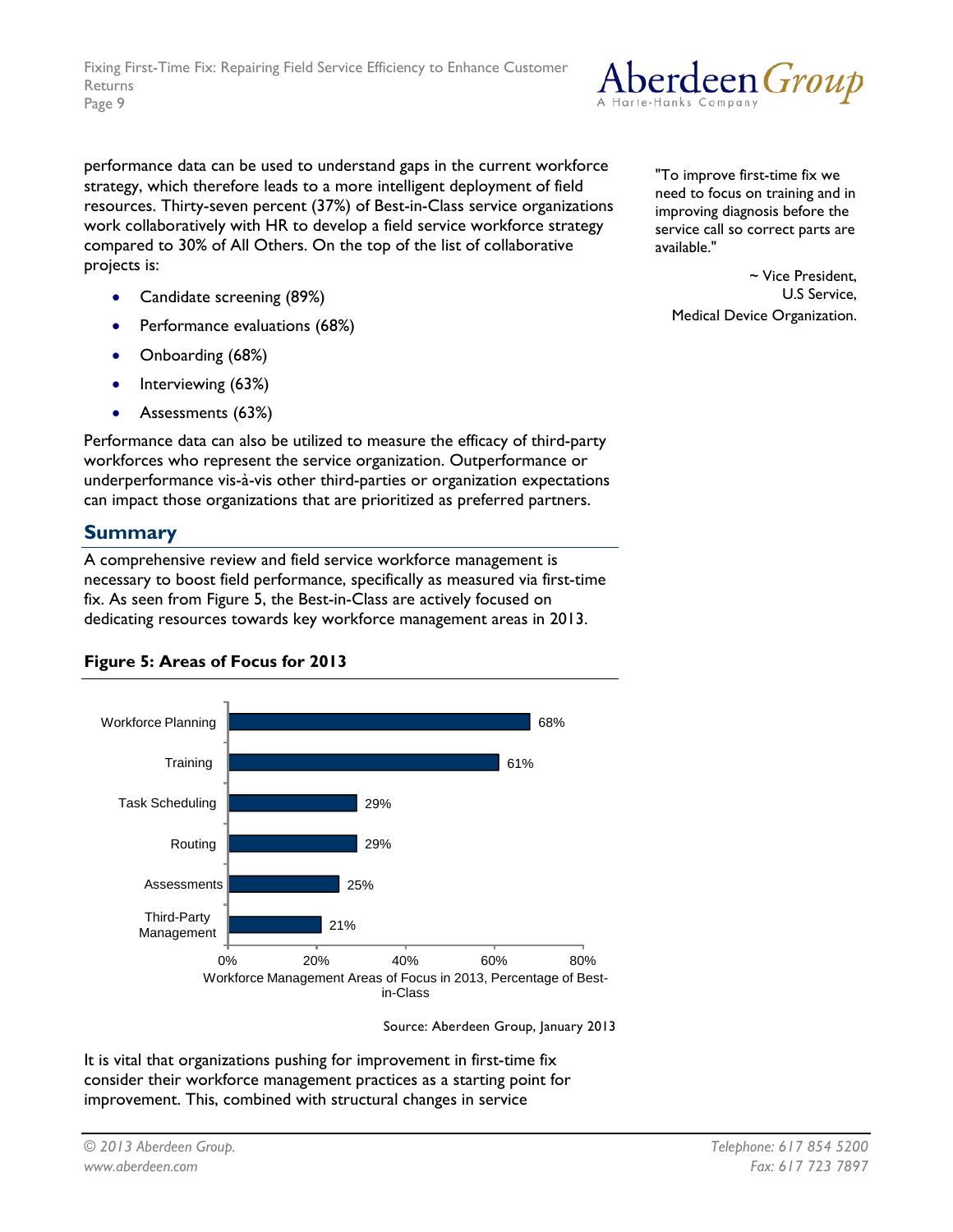performance data can be used to understand gaps in the current workforce strategy, which therefore leads to a more intelligent deployment of field resources. Thirty-seven percent (37%) of Best-in-Class service organizations work collaboratively with HR to develop a field service workforce strategy compared to 30% of All Others. On the top of the list of collaborative projects is:

- Candidate screening (89%)
- Performance evaluations (68%)
- Onboarding (68%)
- Interviewing (63%)
- Assessments (63%)

Performance data can also be utilized to measure the efficacy of third-party workforces who represent the service organization. Outperformance or underperformance vis-à-vis other third-parties or organization expectations can impact those organizations that are prioritized as preferred partners.

### **Summary**

A comprehensive review and field service workforce management is necessary to boost field performance, specifically as measured via first-time fix. As seen from Figure 5, the Best-in-Class are actively focused on dedicating resources towards key workforce management areas in 2013.



**Figure 5: Areas of Focus for 2013**

Source: Aberdeen Group, January 2013

It is vital that organizations pushing for improvement in first-time fix consider their workforce management practices as a starting point for improvement. This, combined with structural changes in service



"To improve first-time fix we need to focus on training and in improving diagnosis before the service call so correct parts are available."

~ Vice President, U.S Service, Medical Device Organization.